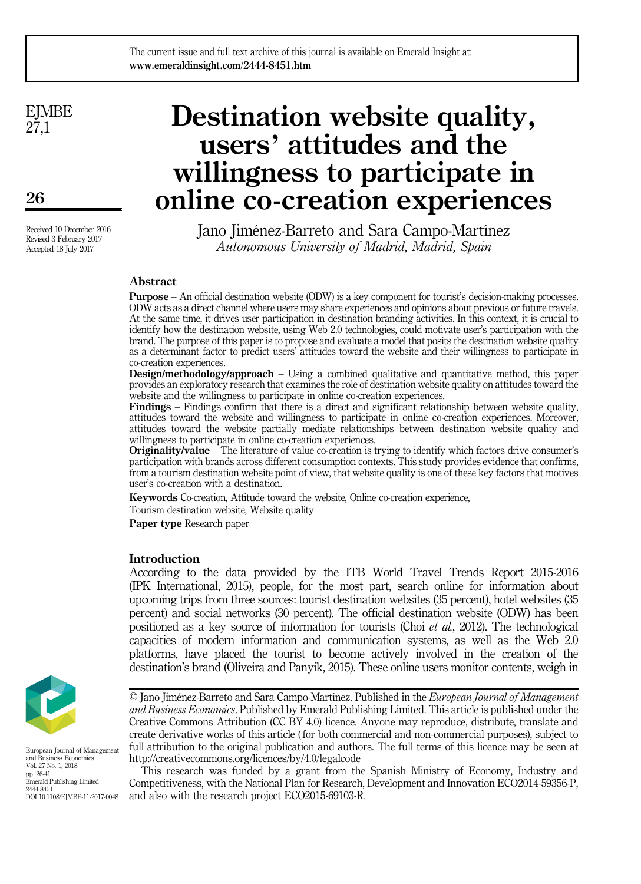**E**IMBE 27,1

26

Received 10 December 2016 Revised 3 February 2017 Accepted 18 July 2017

# Destination website quality, users' attitudes and the willingness to participate in online co-creation experiences

Jano Jiménez-Barreto and Sara Campo-Martínez Autonomous University of Madrid, Madrid, Spain

# Abstract

Purpose – An official destination website (ODW) is a key component for tourist's decision-making processes. ODW acts as a direct channel where users may share experiences and opinions about previous or future travels. At the same time, it drives user participation in destination branding activities. In this context, it is crucial to identify how the destination website, using Web 2.0 technologies, could motivate user's participation with the brand. The purpose of this paper is to propose and evaluate a model that posits the destination website quality as a determinant factor to predict users' attitudes toward the website and their willingness to participate in co-creation experiences.

Design/methodology/approach – Using a combined qualitative and quantitative method, this paper provides an exploratory research that examines the role of destination website quality on attitudes toward the website and the willingness to participate in online co-creation experiences.

Findings – Findings confirm that there is a direct and significant relationship between website quality, attitudes toward the website and willingness to participate in online co-creation experiences. Moreover, attitudes toward the website partially mediate relationships between destination website quality and willingness to participate in online co-creation experiences.

Originality/value – The literature of value co-creation is trying to identify which factors drive consumer's participation with brands across different consumption contexts. This study provides evidence that confirms, from a tourism destination website point of view, that website quality is one of these key factors that motives user's co-creation with a destination.

Keywords Co-creation, Attitude toward the website, Online co-creation experience, Tourism destination website, Website quality

Paper type Research paper

## **Introduction**

According to the data provided by the ITB World Travel Trends Report 2015-2016 (IPK International, 2015), people, for the most part, search online for information about upcoming trips from three sources: tourist destination websites (35 percent), hotel websites (35 percent) and social networks (30 percent). The official destination website (ODW) has been positioned as a key source of information for tourists (Choi *et al.*, 2012). The technological capacities of modern information and communication systems, as well as the Web 2.0 platforms, have placed the tourist to become actively involved in the creation of the destination's brand (Oliveira and Panyik, 2015). These online users monitor contents, weigh in



European Journal of Management and Business Economics Vol. 27 No. 1, 2018 pp. 26-41 Emerald Publishing Limited 2444-8451 DOI 10.1108/EJMBE-11-2017-0048

This research was funded by a grant from the Spanish Ministry of Economy, Industry and Competitiveness, with the National Plan for Research, Development and Innovation ECO2014-59356-P, and also with the research project ECO2015-69103-R.

<sup>©</sup> Jano Jiménez-Barreto and Sara Campo-Martínez. Published in the European Journal of Management and Business Economics. Published by Emerald Publishing Limited. This article is published under the Creative Commons Attribution (CC BY 4.0) licence. Anyone may reproduce, distribute, translate and create derivative works of this article ( for both commercial and non-commercial purposes), subject to full attribution to the original publication and authors. The full terms of this licence may be seen at <http://creativecommons.org/licences/by/4.0/legalcode>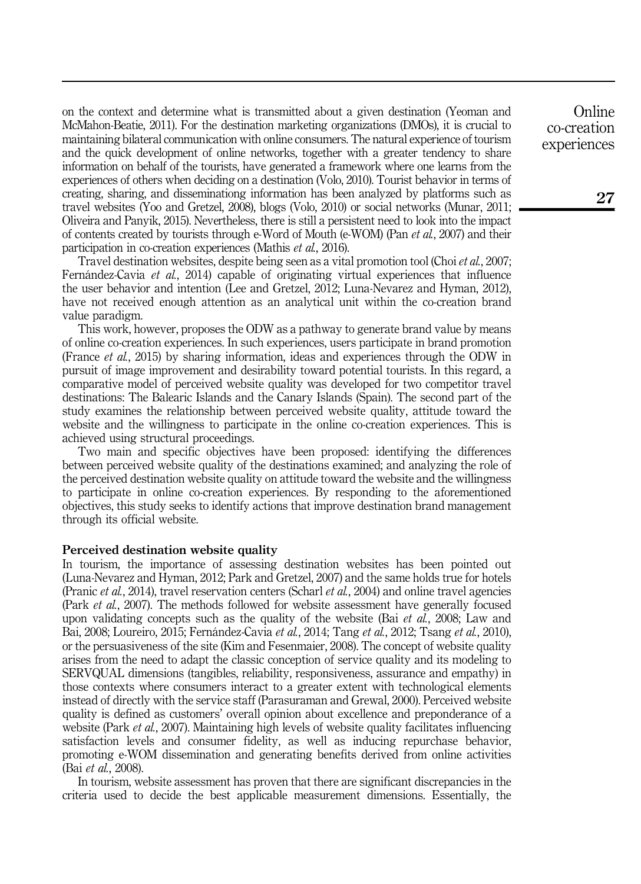on the context and determine what is transmitted about a given destination (Yeoman and McMahon-Beatie, 2011). For the destination marketing organizations (DMOs), it is crucial to maintaining bilateral communication with online consumers. The natural experience of tourism and the quick development of online networks, together with a greater tendency to share information on behalf of the tourists, have generated a framework where one learns from the experiences of others when deciding on a destination (Volo, 2010). Tourist behavior in terms of creating, sharing, and disseminationg information has been analyzed by platforms such as travel websites (Yoo and Gretzel, 2008), blogs (Volo, 2010) or social networks (Munar, 2011; Oliveira and Panyik, 2015). Nevertheless, there is still a persistent need to look into the impact of contents created by tourists through e-Word of Mouth (e-WOM) (Pan et al., 2007) and their participation in co-creation experiences (Mathis et al., 2016).

Travel destination websites, despite being seen as a vital promotion tool (Choi et al., 2007; Fernández-Cavia et al., 2014) capable of originating virtual experiences that influence the user behavior and intention (Lee and Gretzel, 2012; Luna-Nevarez and Hyman, 2012), have not received enough attention as an analytical unit within the co-creation brand value paradigm.

This work, however, proposes the ODW as a pathway to generate brand value by means of online co-creation experiences. In such experiences, users participate in brand promotion (France et al., 2015) by sharing information, ideas and experiences through the ODW in pursuit of image improvement and desirability toward potential tourists. In this regard, a comparative model of perceived website quality was developed for two competitor travel destinations: The Balearic Islands and the Canary Islands (Spain). The second part of the study examines the relationship between perceived website quality, attitude toward the website and the willingness to participate in the online co-creation experiences. This is achieved using structural proceedings.

Two main and specific objectives have been proposed: identifying the differences between perceived website quality of the destinations examined; and analyzing the role of the perceived destination website quality on attitude toward the website and the willingness to participate in online co-creation experiences. By responding to the aforementioned objectives, this study seeks to identify actions that improve destination brand management through its official website.

#### Perceived destination website quality

In tourism, the importance of assessing destination websites has been pointed out (Luna-Nevarez and Hyman, 2012; Park and Gretzel, 2007) and the same holds true for hotels (Pranic *et al.*, 2014), travel reservation centers (Scharl *et al.*, 2004) and online travel agencies (Park et al., 2007). The methods followed for website assessment have generally focused upon validating concepts such as the quality of the website (Bai *et al.*, 2008; Law and Bai, 2008; Loureiro, 2015; Fernández-Cavia *et al.*, 2014; Tang *et al.*, 2012; Tsang *et al.*, 2010), or the persuasiveness of the site (Kim and Fesenmaier, 2008). The concept of website quality arises from the need to adapt the classic conception of service quality and its modeling to SERVQUAL dimensions (tangibles, reliability, responsiveness, assurance and empathy) in those contexts where consumers interact to a greater extent with technological elements instead of directly with the service staff (Parasuraman and Grewal, 2000). Perceived website quality is defined as customers' overall opinion about excellence and preponderance of a website (Park *et al.,* 2007). Maintaining high levels of website quality facilitates influencing satisfaction levels and consumer fidelity, as well as inducing repurchase behavior, promoting e-WOM dissemination and generating benefits derived from online activities (Bai et al., 2008).

In tourism, website assessment has proven that there are significant discrepancies in the criteria used to decide the best applicable measurement dimensions. Essentially, the

**Online** co-creation experiences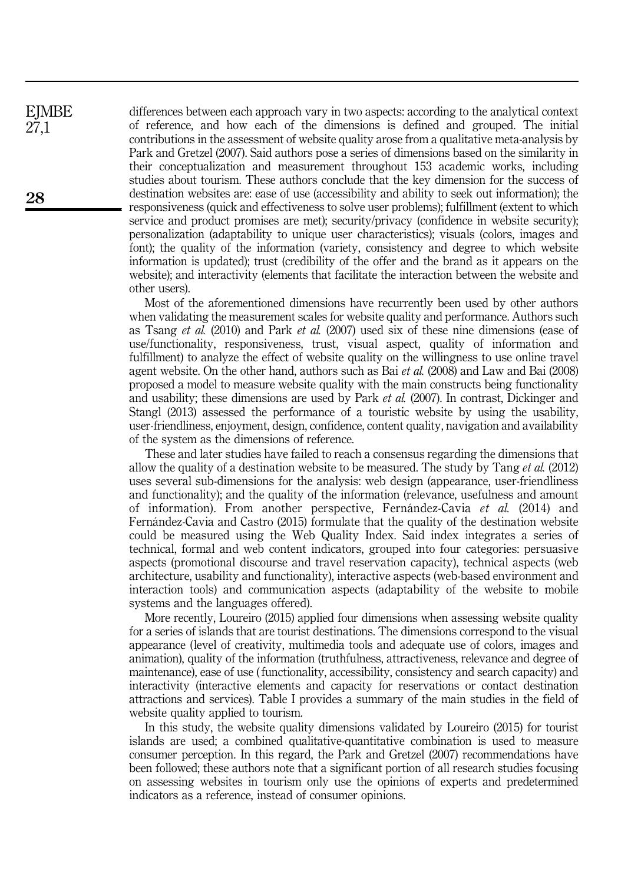differences between each approach vary in two aspects: according to the analytical context of reference, and how each of the dimensions is defined and grouped. The initial contributions in the assessment of website quality arose from a qualitative meta-analysis by Park and Gretzel (2007). Said authors pose a series of dimensions based on the similarity in their conceptualization and measurement throughout 153 academic works, including studies about tourism. These authors conclude that the key dimension for the success of destination websites are: ease of use (accessibility and ability to seek out information); the responsiveness (quick and effectiveness to solve user problems); fulfillment (extent to which service and product promises are met); security/privacy (confidence in website security); personalization (adaptability to unique user characteristics); visuals (colors, images and font); the quality of the information (variety, consistency and degree to which website information is updated); trust (credibility of the offer and the brand as it appears on the website); and interactivity (elements that facilitate the interaction between the website and other users).

Most of the aforementioned dimensions have recurrently been used by other authors when validating the measurement scales for website quality and performance. Authors such as Tsang et al. (2010) and Park et al. (2007) used six of these nine dimensions (ease of use/functionality, responsiveness, trust, visual aspect, quality of information and fulfillment) to analyze the effect of website quality on the willingness to use online travel agent website. On the other hand, authors such as Bai et al. (2008) and Law and Bai (2008) proposed a model to measure website quality with the main constructs being functionality and usability; these dimensions are used by Park et al. (2007). In contrast, Dickinger and Stangl (2013) assessed the performance of a touristic website by using the usability, user-friendliness, enjoyment, design, confidence, content quality, navigation and availability of the system as the dimensions of reference.

These and later studies have failed to reach a consensus regarding the dimensions that allow the quality of a destination website to be measured. The study by Tang et al. (2012) uses several sub-dimensions for the analysis: web design (appearance, user-friendliness and functionality); and the quality of the information (relevance, usefulness and amount of information). From another perspective, Fernández-Cavia et al. (2014) and Fernández-Cavia and Castro (2015) formulate that the quality of the destination website could be measured using the Web Quality Index. Said index integrates a series of technical, formal and web content indicators, grouped into four categories: persuasive aspects (promotional discourse and travel reservation capacity), technical aspects (web architecture, usability and functionality), interactive aspects (web-based environment and interaction tools) and communication aspects (adaptability of the website to mobile systems and the languages offered).

More recently, Loureiro (2015) applied four dimensions when assessing website quality for a series of islands that are tourist destinations. The dimensions correspond to the visual appearance (level of creativity, multimedia tools and adequate use of colors, images and animation), quality of the information (truthfulness, attractiveness, relevance and degree of maintenance), ease of use ( functionality, accessibility, consistency and search capacity) and interactivity (interactive elements and capacity for reservations or contact destination attractions and services). Table I provides a summary of the main studies in the field of website quality applied to tourism.

In this study, the website quality dimensions validated by Loureiro (2015) for tourist islands are used; a combined qualitative-quantitative combination is used to measure consumer perception. In this regard, the Park and Gretzel (2007) recommendations have been followed; these authors note that a significant portion of all research studies focusing on assessing websites in tourism only use the opinions of experts and predetermined indicators as a reference, instead of consumer opinions.

**EJMBE** 27,1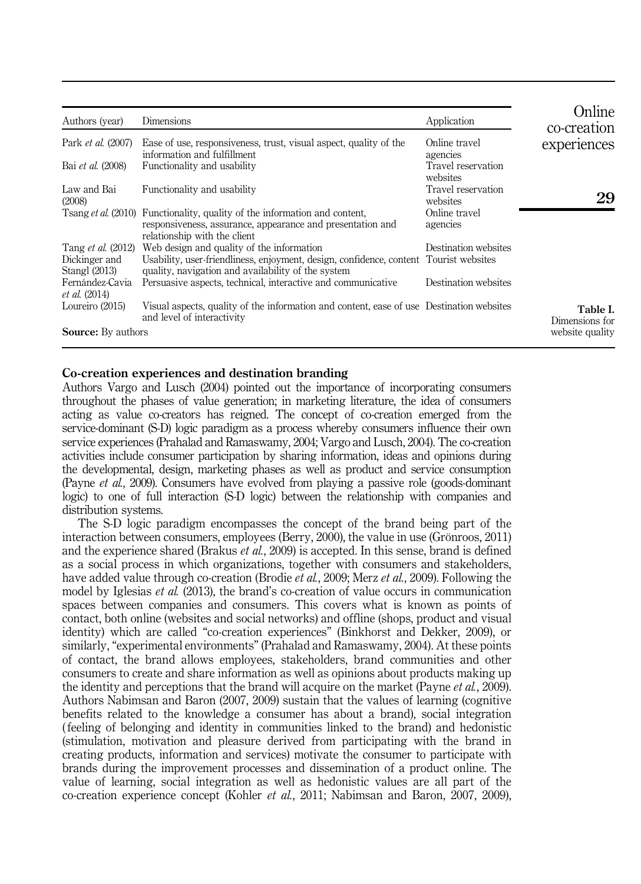| Authors (year)                                              | Dimensions                                                                                                                                                                               | Application                    | Online<br>co-creation      |
|-------------------------------------------------------------|------------------------------------------------------------------------------------------------------------------------------------------------------------------------------------------|--------------------------------|----------------------------|
| Park <i>et al.</i> (2007)                                   | Ease of use, responsiveness, trust, visual aspect, quality of the<br>information and fulfillment                                                                                         | Online travel<br>agencies      | experiences                |
| Bai et al. (2008)                                           | Functionality and usability                                                                                                                                                              | Travel reservation<br>websites |                            |
| Law and Bai<br>(2008)                                       | Functionality and usability                                                                                                                                                              | Travel reservation<br>websites | 29                         |
|                                                             | Tsang et al. (2010) Functionality, quality of the information and content,<br>responsiveness, assurance, appearance and presentation and<br>relationship with the client                 | Online travel<br>agencies      |                            |
| Tang <i>et al.</i> (2012)<br>Dickinger and<br>Stangl (2013) | Web design and quality of the information<br>Usability, user-friendliness, enjoyment, design, confidence, content Tourist websites<br>quality, navigation and availability of the system | Destination websites           |                            |
| Fernández-Cavia<br><i>et al.</i> (2014)                     | Persuasive aspects, technical, interactive and communicative                                                                                                                             | Destination websites           |                            |
| Loureiro (2015)                                             | Visual aspects, quality of the information and content, ease of use Destination websites<br>and level of interactivity                                                                   |                                | Table I.<br>Dimensions for |
| <b>Source:</b> By authors                                   |                                                                                                                                                                                          |                                | website quality            |

## Co-creation experiences and destination branding

Authors Vargo and Lusch (2004) pointed out the importance of incorporating consumers throughout the phases of value generation; in marketing literature, the idea of consumers acting as value co-creators has reigned. The concept of co-creation emerged from the service-dominant (S-D) logic paradigm as a process whereby consumers influence their own service experiences (Prahalad and Ramaswamy, 2004; Vargo and Lusch, 2004). The co-creation activities include consumer participation by sharing information, ideas and opinions during the developmental, design, marketing phases as well as product and service consumption (Payne *et al.*, 2009). Consumers have evolved from playing a passive role (goods-dominant logic) to one of full interaction (S-D logic) between the relationship with companies and distribution systems.

The S-D logic paradigm encompasses the concept of the brand being part of the interaction between consumers, employees (Berry, 2000), the value in use (Grönroos, 2011) and the experience shared (Brakus *et al.*, 2009) is accepted. In this sense, brand is defined as a social process in which organizations, together with consumers and stakeholders, have added value through co-creation (Brodie et al., 2009; Merz et al., 2009). Following the model by Iglesias *et al.* (2013), the brand's co-creation of value occurs in communication spaces between companies and consumers. This covers what is known as points of contact, both online (websites and social networks) and offline (shops, product and visual identity) which are called "co-creation experiences" (Binkhorst and Dekker, 2009), or similarly, "experimental environments" (Prahalad and Ramaswamy, 2004). At these points of contact, the brand allows employees, stakeholders, brand communities and other consumers to create and share information as well as opinions about products making up the identity and perceptions that the brand will acquire on the market (Payne *et al.*, 2009). Authors Nabimsan and Baron (2007, 2009) sustain that the values of learning (cognitive benefits related to the knowledge a consumer has about a brand), social integration ( feeling of belonging and identity in communities linked to the brand) and hedonistic (stimulation, motivation and pleasure derived from participating with the brand in creating products, information and services) motivate the consumer to participate with brands during the improvement processes and dissemination of a product online. The value of learning, social integration as well as hedonistic values are all part of the co-creation experience concept (Kohler et al., 2011; Nabimsan and Baron, 2007, 2009),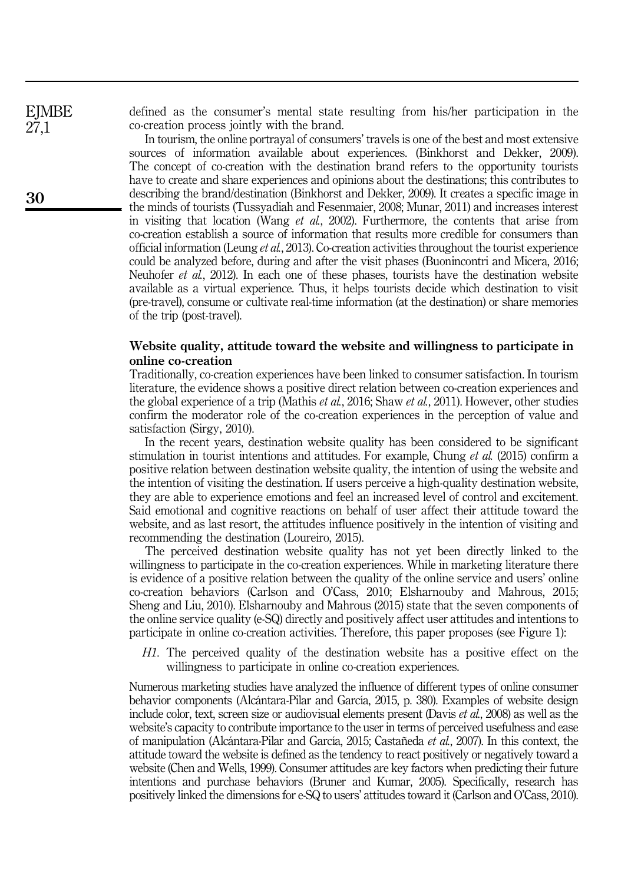**EJMBE** 27,1

defined as the consumer's mental state resulting from his/her participation in the co-creation process jointly with the brand.

In tourism, the online portrayal of consumers' travels is one of the best and most extensive sources of information available about experiences. (Binkhorst and Dekker, 2009). The concept of co-creation with the destination brand refers to the opportunity tourists have to create and share experiences and opinions about the destinations; this contributes to describing the brand/destination (Binkhorst and Dekker, 2009). It creates a specific image in the minds of tourists (Tussyadiah and Fesenmaier, 2008; Munar, 2011) and increases interest in visiting that location (Wang *et al.*, 2002). Furthermore, the contents that arise from co-creation establish a source of information that results more credible for consumers than official information (Leung et al., 2013). Co-creation activities throughout the tourist experience could be analyzed before, during and after the visit phases (Buonincontri and Micera, 2016; Neuhofer et al., 2012). In each one of these phases, tourists have the destination website available as a virtual experience. Thus, it helps tourists decide which destination to visit (pre-travel), consume or cultivate real-time information (at the destination) or share memories of the trip (post-travel).

## Website quality, attitude toward the website and willingness to participate in online co-creation

Traditionally, co-creation experiences have been linked to consumer satisfaction. In tourism literature, the evidence shows a positive direct relation between co-creation experiences and the global experience of a trip (Mathis et al., 2016; Shaw et al., 2011). However, other studies confirm the moderator role of the co-creation experiences in the perception of value and satisfaction (Sirgy, 2010).

In the recent years, destination website quality has been considered to be significant stimulation in tourist intentions and attitudes. For example, Chung *et al.* (2015) confirm a positive relation between destination website quality, the intention of using the website and the intention of visiting the destination. If users perceive a high-quality destination website, they are able to experience emotions and feel an increased level of control and excitement. Said emotional and cognitive reactions on behalf of user affect their attitude toward the website, and as last resort, the attitudes influence positively in the intention of visiting and recommending the destination (Loureiro, 2015).

The perceived destination website quality has not yet been directly linked to the willingness to participate in the co-creation experiences. While in marketing literature there is evidence of a positive relation between the quality of the online service and users' online co-creation behaviors (Carlson and O'Cass, 2010; Elsharnouby and Mahrous, 2015; Sheng and Liu, 2010). Elsharnouby and Mahrous (2015) state that the seven components of the online service quality (e-SQ) directly and positively affect user attitudes and intentions to participate in online co-creation activities. Therefore, this paper proposes (see Figure 1):

H1. The perceived quality of the destination website has a positive effect on the willingness to participate in online co-creation experiences.

Numerous marketing studies have analyzed the influence of different types of online consumer behavior components (Alcántara-Pilar and García, 2015, p. 380). Examples of website design include color, text, screen size or audiovisual elements present (Davis et al., 2008) as well as the website's capacity to contribute importance to the user in terms of perceived usefulness and ease of manipulation (Alcántara-Pilar and García, 2015; Castañeda et al., 2007). In this context, the attitude toward the website is defined as the tendency to react positively or negatively toward a website (Chen and Wells, 1999). Consumer attitudes are key factors when predicting their future intentions and purchase behaviors (Bruner and Kumar, 2005). Specifically, research has positively linked the dimensions for e-SQ to users' attitudes toward it (Carlson and O'Cass, 2010).

30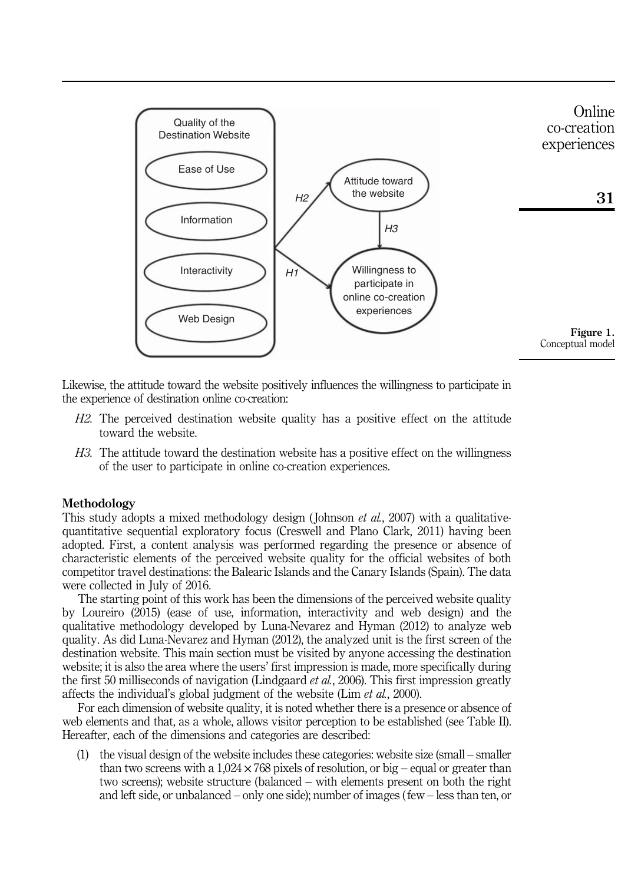

Likewise, the attitude toward the website positively influences the willingness to participate in the experience of destination online co-creation:

- H2. The perceived destination website quality has a positive effect on the attitude toward the website.
- H3. The attitude toward the destination website has a positive effect on the willingness of the user to participate in online co-creation experiences.

## Methodology

This study adopts a mixed methodology design (Johnson *et al.*, 2007) with a qualitativequantitative sequential exploratory focus (Creswell and Plano Clark, 2011) having been adopted. First, a content analysis was performed regarding the presence or absence of characteristic elements of the perceived website quality for the official websites of both competitor travel destinations: the Balearic Islands and the Canary Islands (Spain). The data were collected in July of 2016.

The starting point of this work has been the dimensions of the perceived website quality by Loureiro (2015) (ease of use, information, interactivity and web design) and the qualitative methodology developed by Luna-Nevarez and Hyman (2012) to analyze web quality. As did Luna-Nevarez and Hyman (2012), the analyzed unit is the first screen of the destination website. This main section must be visited by anyone accessing the destination website; it is also the area where the users' first impression is made, more specifically during the first 50 milliseconds of navigation (Lindgaard *et al.*, 2006). This first impression greatly affects the individual's global judgment of the website (Lim et al., 2000).

For each dimension of website quality, it is noted whether there is a presence or absence of web elements and that, as a whole, allows visitor perception to be established (see Table II). Hereafter, each of the dimensions and categories are described:

(1) the visual design of the website includes these categories: website size (small – smaller than two screens with a  $1,024 \times 768$  pixels of resolution, or big – equal or greater than two screens); website structure (balanced – with elements present on both the right and left side, or unbalanced – only one side); number of images ( few – less than ten, or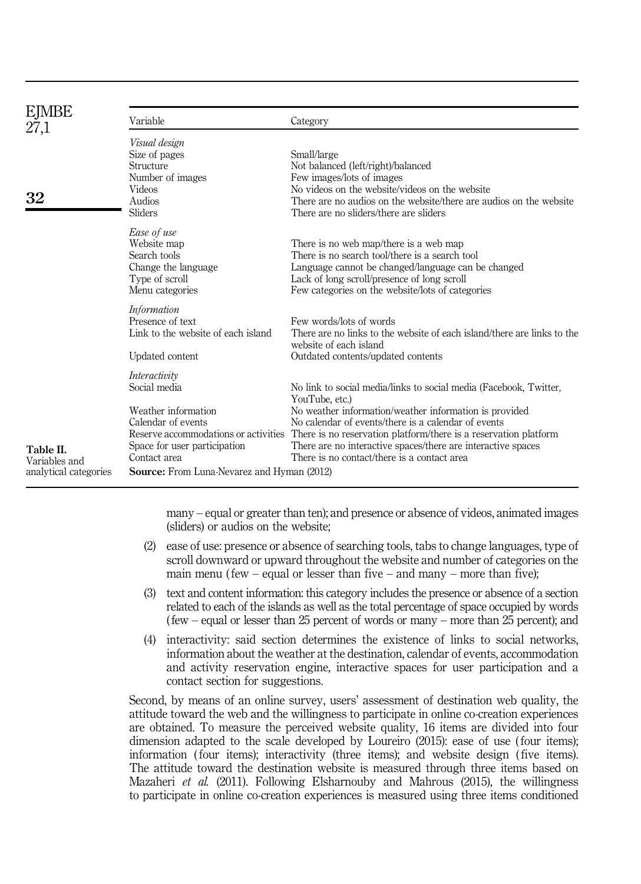| EJMBE<br>27,1                                       | Variable                                                                                                                                                                                                                | Category                                                                                                                                                                                                                                                                                                                                                                                |  |  |  |
|-----------------------------------------------------|-------------------------------------------------------------------------------------------------------------------------------------------------------------------------------------------------------------------------|-----------------------------------------------------------------------------------------------------------------------------------------------------------------------------------------------------------------------------------------------------------------------------------------------------------------------------------------------------------------------------------------|--|--|--|
| 32                                                  | Visual design<br>Size of pages<br>Structure<br>Number of images<br><b>Videos</b><br>Audios<br><b>Sliders</b>                                                                                                            | Small/large<br>Not balanced (left/right)/balanced<br>Few images/lots of images<br>No videos on the website/videos on the website<br>There are no audios on the website/there are audios on the website<br>There are no sliders/there are sliders                                                                                                                                        |  |  |  |
|                                                     | Ease of use<br>Website map<br>Search tools<br>Change the language<br>Type of scroll<br>Menu categories                                                                                                                  | There is no web map/there is a web map<br>There is no search tool/there is a search tool<br>Language cannot be changed/language can be changed<br>Lack of long scroll/presence of long scroll<br>Few categories on the website/lots of categories                                                                                                                                       |  |  |  |
|                                                     | <i>Information</i><br>Presence of text<br>Link to the website of each island<br>Updated content                                                                                                                         | Few words/lots of words<br>There are no links to the website of each island/there are links to the<br>website of each island<br>Outdated contents/updated contents                                                                                                                                                                                                                      |  |  |  |
| Table II.<br>Variables and<br>analytical categories | Interactivity<br>Social media<br>Weather information<br>Calendar of events<br>Reserve accommodations or activities<br>Space for user participation<br>Contact area<br><b>Source:</b> From Luna-Nevarez and Hyman (2012) | No link to social media/links to social media (Facebook, Twitter,<br>YouTube, etc.)<br>No weather information/weather information is provided<br>No calendar of events/there is a calendar of events<br>There is no reservation platform/there is a reservation platform<br>There are no interactive spaces/there are interactive spaces<br>There is no contact/there is a contact area |  |  |  |

many – equal or greater than ten); and presence or absence of videos, animated images (sliders) or audios on the website;

- (2) ease of use: presence or absence of searching tools, tabs to change languages, type of scroll downward or upward throughout the website and number of categories on the main menu ( $few - equal$  or lesser than five  $-$  and many  $-$  more than five);
- (3) text and content information: this category includes the presence or absence of a section related to each of the islands as well as the total percentage of space occupied by words ( few – equal or lesser than 25 percent of words or many – more than 25 percent); and
- (4) interactivity: said section determines the existence of links to social networks, information about the weather at the destination, calendar of events, accommodation and activity reservation engine, interactive spaces for user participation and a contact section for suggestions.

Second, by means of an online survey, users' assessment of destination web quality, the attitude toward the web and the willingness to participate in online co-creation experiences are obtained. To measure the perceived website quality, 16 items are divided into four dimension adapted to the scale developed by Loureiro (2015): ease of use ( four items); information ( four items); interactivity (three items); and website design ( five items). The attitude toward the destination website is measured through three items based on Mazaheri et al. (2011). Following Elsharnouby and Mahrous (2015), the willingness to participate in online co-creation experiences is measured using three items conditioned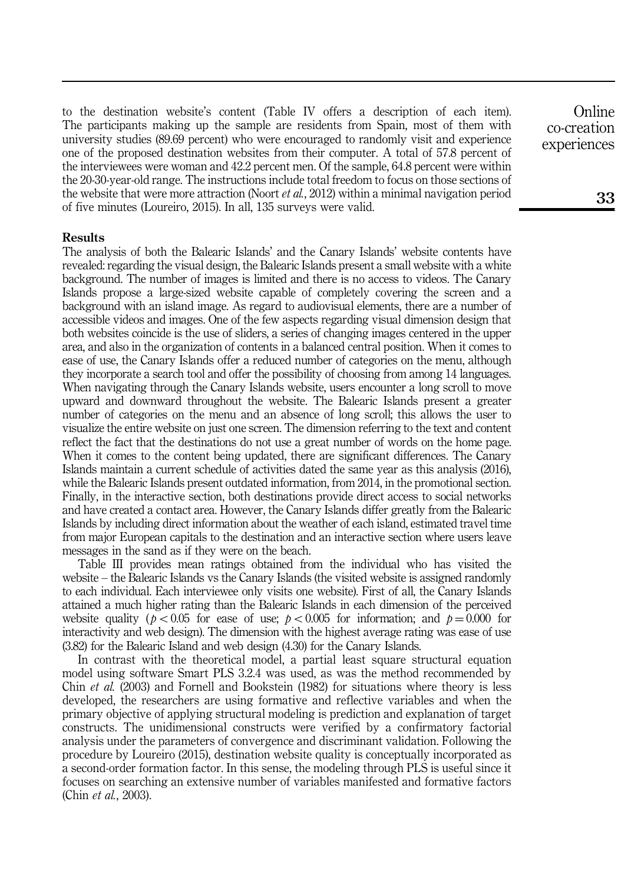to the destination website's content (Table IV offers a description of each item). The participants making up the sample are residents from Spain, most of them with university studies (89.69 percent) who were encouraged to randomly visit and experience one of the proposed destination websites from their computer. A total of 57.8 percent of the interviewees were woman and 42.2 percent men. Of the sample, 64.8 percent were within the 20-30-year-old range. The instructions include total freedom to focus on those sections of the website that were more attraction (Noort *et al.*, 2012) within a minimal navigation period of five minutes (Loureiro, 2015). In all, 135 surveys were valid.

#### Results

The analysis of both the Balearic Islands' and the Canary Islands' website contents have revealed: regarding the visual design, the Balearic Islands present a small website with a white background. The number of images is limited and there is no access to videos. The Canary Islands propose a large-sized website capable of completely covering the screen and a background with an island image. As regard to audiovisual elements, there are a number of accessible videos and images. One of the few aspects regarding visual dimension design that both websites coincide is the use of sliders, a series of changing images centered in the upper area, and also in the organization of contents in a balanced central position. When it comes to ease of use, the Canary Islands offer a reduced number of categories on the menu, although they incorporate a search tool and offer the possibility of choosing from among 14 languages. When navigating through the Canary Islands website, users encounter a long scroll to move upward and downward throughout the website. The Balearic Islands present a greater number of categories on the menu and an absence of long scroll; this allows the user to visualize the entire website on just one screen. The dimension referring to the text and content reflect the fact that the destinations do not use a great number of words on the home page. When it comes to the content being updated, there are significant differences. The Canary Islands maintain a current schedule of activities dated the same year as this analysis (2016), while the Balearic Islands present outdated information, from 2014, in the promotional section. Finally, in the interactive section, both destinations provide direct access to social networks and have created a contact area. However, the Canary Islands differ greatly from the Balearic Islands by including direct information about the weather of each island, estimated travel time from major European capitals to the destination and an interactive section where users leave messages in the sand as if they were on the beach.

Table III provides mean ratings obtained from the individual who has visited the website – the Balearic Islands vs the Canary Islands (the visited website is assigned randomly to each individual. Each interviewee only visits one website). First of all, the Canary Islands attained a much higher rating than the Balearic Islands in each dimension of the perceived website quality ( $p < 0.05$  for ease of use;  $p < 0.005$  for information; and  $p = 0.000$  for interactivity and web design). The dimension with the highest average rating was ease of use (3.82) for the Balearic Island and web design (4.30) for the Canary Islands.

In contrast with the theoretical model, a partial least square structural equation model using software Smart PLS 3.2.4 was used, as was the method recommended by Chin et al. (2003) and Fornell and Bookstein (1982) for situations where theory is less developed, the researchers are using formative and reflective variables and when the primary objective of applying structural modeling is prediction and explanation of target constructs. The unidimensional constructs were verified by a confirmatory factorial analysis under the parameters of convergence and discriminant validation. Following the procedure by Loureiro (2015), destination website quality is conceptually incorporated as a second-order formation factor. In this sense, the modeling through PLS is useful since it focuses on searching an extensive number of variables manifested and formative factors (Chin et al., 2003).

**Online** co-creation experiences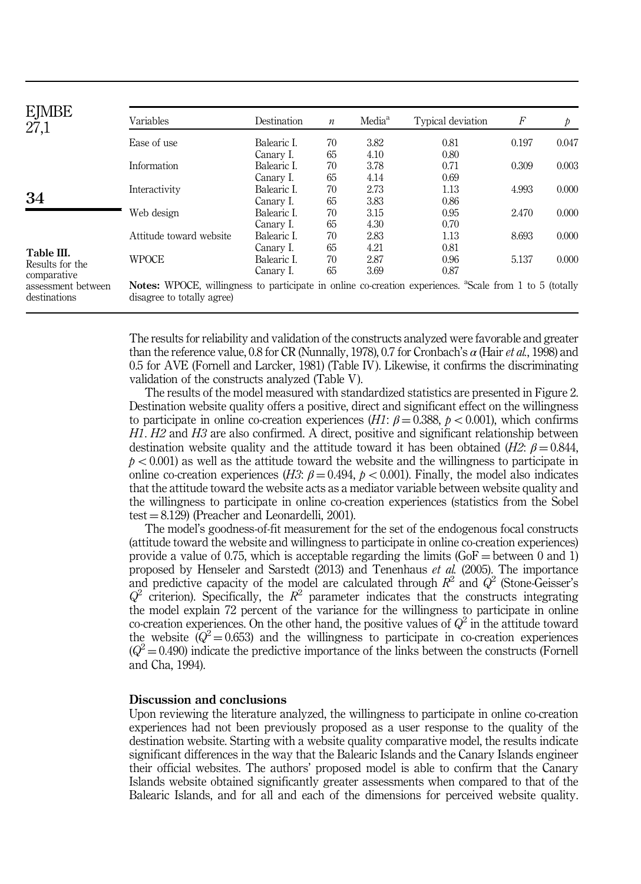| <b>EJMBE</b><br>27,1               | Variables                                                                                                                                         | Destination | $\boldsymbol{n}$ | Media <sup>a</sup> | Typical deviation | F     | $\mathcal{P}$ |  |  |  |
|------------------------------------|---------------------------------------------------------------------------------------------------------------------------------------------------|-------------|------------------|--------------------|-------------------|-------|---------------|--|--|--|
|                                    | Ease of use                                                                                                                                       | Balearic I. | 70               | 3.82               | 0.81              | 0.197 | 0.047         |  |  |  |
|                                    |                                                                                                                                                   | Canary I.   | 65               | 4.10               | 0.80              |       |               |  |  |  |
|                                    | Information                                                                                                                                       | Balearic L  | 70               | 3.78               | 0.71              | 0.309 | 0.003         |  |  |  |
|                                    |                                                                                                                                                   | Canary I.   | 65               | 4.14               | 0.69              |       |               |  |  |  |
|                                    | Interactivity                                                                                                                                     | Balearic L  | 70               | 2.73               | 1.13              | 4.993 | 0.000         |  |  |  |
| 34                                 |                                                                                                                                                   | Canary I.   | 65               | 3.83               | 0.86              |       |               |  |  |  |
|                                    | Web design                                                                                                                                        | Balearic I. | 70               | 3.15               | 0.95              | 2.470 | 0.000         |  |  |  |
|                                    |                                                                                                                                                   | Canary I.   | 65               | 4.30               | 0.70              |       |               |  |  |  |
|                                    | Attitude toward website                                                                                                                           | Balearic I. | 70               | 2.83               | 1.13              | 8.693 | 0.000         |  |  |  |
| Table III.                         |                                                                                                                                                   | Canary I.   | 65               | 4.21               | 0.81              |       |               |  |  |  |
| Results for the                    | <b>WPOCE</b>                                                                                                                                      | Balearic I. | 70               | 2.87               | 0.96              | 5.137 | 0.000         |  |  |  |
| comparative                        |                                                                                                                                                   | Canary I.   | 65               | 3.69               | 0.87              |       |               |  |  |  |
| assessment between<br>destinations | Notes: WPOCE, willingness to participate in online co-creation experiences. <sup>a</sup> Scale from 1 to 5 (totally<br>disagree to totally agree) |             |                  |                    |                   |       |               |  |  |  |

The results for reliability and validation of the constructs analyzed were favorable and greater than the reference value, 0.8 for CR (Nunnally, 1978), 0.7 for Cronbach's  $\alpha$  (Hair *et al.*, 1998) and 0.5 for AVE (Fornell and Larcker, 1981) (Table IV). Likewise, it confirms the discriminating validation of the constructs analyzed (Table V).

The results of the model measured with standardized statistics are presented in Figure 2. Destination website quality offers a positive, direct and significant effect on the willingness to participate in online co-creation experiences (H1:  $\beta = 0.388$ ,  $p < 0.001$ ), which confirms H1. H2 and H3 are also confirmed. A direct, positive and significant relationship between destination website quality and the attitude toward it has been obtained (H2:  $\beta = 0.844$ ,  $p < 0.001$ ) as well as the attitude toward the website and the willingness to participate in online co-creation experiences (H3:  $\beta = 0.494$ ,  $p < 0.001$ ). Finally, the model also indicates that the attitude toward the website acts as a mediator variable between website quality and the willingness to participate in online co-creation experiences (statistics from the Sobel test  $= 8.129$ ) (Preacher and Leonardelli, 2001).

The model's goodness-of-fit measurement for the set of the endogenous focal constructs (attitude toward the website and willingness to participate in online co-creation experiences) provide a value of 0.75, which is acceptable regarding the limits ( $GoF =$  between 0 and 1) proposed by Henseler and Sarstedt (2013) and Tenenhaus et al. (2005). The importance and predictive capacity of the model are calculated through  $R^2$  and  $\dot{Q}^2$  (Stone-Geisser's  $Q^2$  criterion). Specifically, the  $R^2$  parameter indicates that the constructs integrating the model explain 72 percent of the variance for the willingness to participate in online co-creation experiences. On the other hand, the positive values of  $Q^2$  in the attitude toward the website  $(Q^2 = 0.653)$  and the willingness to participate in co-creation experiences  $(Q^2 = 0.490)$  indicate the predictive importance of the links between the constructs (Fornell and Cha, 1994).

#### Discussion and conclusions

Upon reviewing the literature analyzed, the willingness to participate in online co-creation experiences had not been previously proposed as a user response to the quality of the destination website. Starting with a website quality comparative model, the results indicate significant differences in the way that the Balearic Islands and the Canary Islands engineer their official websites. The authors' proposed model is able to confirm that the Canary Islands website obtained significantly greater assessments when compared to that of the Balearic Islands, and for all and each of the dimensions for perceived website quality.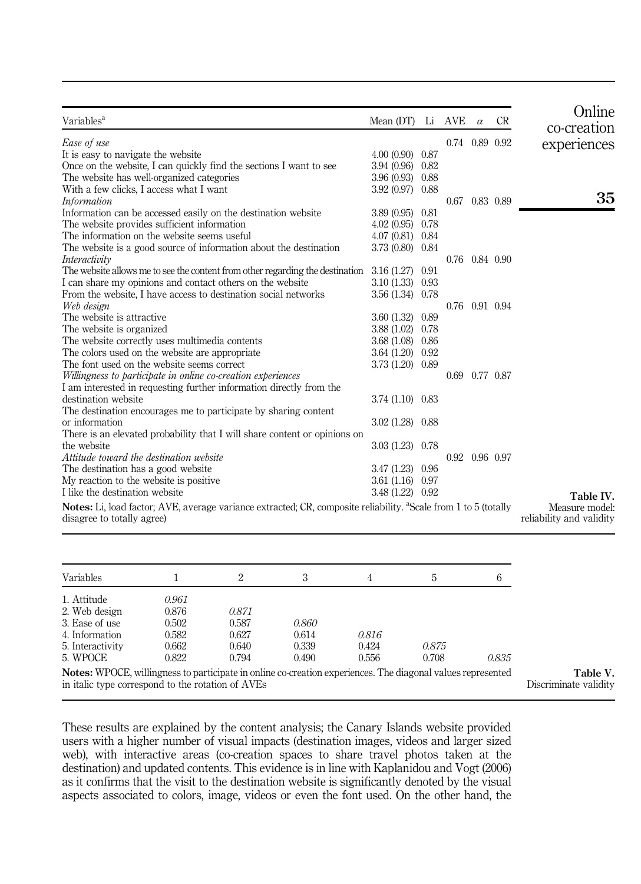| Variables <sup>a</sup>                                                                                                      | Mean (DT)           |      | Li AVE         | $\alpha$ | <b>CR</b> | Online<br>co-creation    |
|-----------------------------------------------------------------------------------------------------------------------------|---------------------|------|----------------|----------|-----------|--------------------------|
| Ease of use                                                                                                                 |                     |      | 0.74 0.89 0.92 |          |           | experiences              |
| It is easy to navigate the website                                                                                          | $4.00(0.90)$ 0.87   |      |                |          |           |                          |
| Once on the website, I can quickly find the sections I want to see                                                          | 3.94 (0.96) 0.82    |      |                |          |           |                          |
| The website has well-organized categories                                                                                   | $3.96(0.93)$ 0.88   |      |                |          |           |                          |
| With a few clicks, I access what I want                                                                                     | 3.92 (0.97) 0.88    |      |                |          |           |                          |
| <i>Information</i>                                                                                                          |                     |      | 0.67 0.83 0.89 |          |           | 35                       |
| Information can be accessed easily on the destination website                                                               | 3.89 (0.95)         | 0.81 |                |          |           |                          |
| The website provides sufficient information                                                                                 | $4.02(0.95)$ 0.78   |      |                |          |           |                          |
| The information on the website seems useful                                                                                 | 4.07 (0.81) 0.84    |      |                |          |           |                          |
| The website is a good source of information about the destination                                                           | 3.73 (0.80) 0.84    |      |                |          |           |                          |
| Interactivity                                                                                                               |                     |      | 0.76 0.84 0.90 |          |           |                          |
| The website allows me to see the content from other regarding the destination                                               | 3.16 (1.27)         | 0.91 |                |          |           |                          |
| I can share my opinions and contact others on the website                                                                   | $3.10(1.33)$ $0.93$ |      |                |          |           |                          |
| From the website, I have access to destination social networks                                                              | 3.56 (1.34) 0.78    |      |                |          |           |                          |
| Web design                                                                                                                  |                     |      | 0.76 0.91 0.94 |          |           |                          |
| The website is attractive                                                                                                   | 3.60 (1.32)         | 0.89 |                |          |           |                          |
| The website is organized.                                                                                                   | 3.88(1.02)          | 0.78 |                |          |           |                          |
| The website correctly uses multimedia contents                                                                              | 3.68 (1.08) 0.86    |      |                |          |           |                          |
| The colors used on the website are appropriate                                                                              | $3.64(1.20)$ 0.92   |      |                |          |           |                          |
| The font used on the website seems correct                                                                                  | 3.73 (1.20) 0.89    |      |                |          |           |                          |
| Willingness to participate in online co-creation experiences                                                                |                     |      | 0.69 0.77 0.87 |          |           |                          |
| I am interested in requesting further information directly from the                                                         |                     |      |                |          |           |                          |
| destination website                                                                                                         | 3.74 (1.10) 0.83    |      |                |          |           |                          |
| The destination encourages me to participate by sharing content                                                             |                     |      |                |          |           |                          |
| or information                                                                                                              | $3.02(1.28)$ 0.88   |      |                |          |           |                          |
| There is an elevated probability that I will share content or opinions on                                                   |                     |      |                |          |           |                          |
| the website                                                                                                                 | $3.03(1.23)$ 0.78   |      |                |          |           |                          |
| Attitude toward the destination website                                                                                     |                     |      | 0.92 0.96 0.97 |          |           |                          |
| The destination has a good website                                                                                          | 3.47 (1.23) 0.96    |      |                |          |           |                          |
| My reaction to the website is positive.                                                                                     | 3.61(1.16)0.97      |      |                |          |           |                          |
| I like the destination website                                                                                              | 3.48 (1.22) 0.92    |      |                |          |           | Table IV.                |
| Notes: Li, load factor; AVE, average variance extracted; CR, composite reliability. <sup>a</sup> Scale from 1 to 5 (totally |                     |      |                |          |           | Measure model:           |
| disagree to totally agree)                                                                                                  |                     |      |                |          |           | reliability and validity |
|                                                                                                                             |                     |      |                |          |           |                          |

| Variables                                                                                                   |       | 2     |       | 4     | h.    |       |
|-------------------------------------------------------------------------------------------------------------|-------|-------|-------|-------|-------|-------|
| 1. Attitude                                                                                                 | 0.961 |       |       |       |       |       |
| 2. Web design                                                                                               | 0.876 | 0.871 |       |       |       |       |
| 3. Ease of use                                                                                              | 0.502 | 0.587 | 0.860 |       |       |       |
| 4. Information                                                                                              | 0.582 | 0.627 | 0.614 | 0.816 |       |       |
| 5. Interactivity                                                                                            | 0.662 | 0.640 | 0.339 | 0.424 | 0.875 |       |
| 5. WPOCE                                                                                                    | 0.822 | 0.794 | 0.490 | 0.556 | 0.708 | 0.835 |
| Notes: WPOCE, willingness to participate in online co-creation experiences. The diagonal values represented |       |       |       |       |       |       |
| in italic type correspond to the rotation of AVEs                                                           |       |       |       |       |       |       |

These results are explained by the content analysis; the Canary Islands website provided users with a higher number of visual impacts (destination images, videos and larger sized web), with interactive areas (co-creation spaces to share travel photos taken at the destination) and updated contents. This evidence is in line with Kaplanidou and Vogt (2006) as it confirms that the visit to the destination website is significantly denoted by the visual aspects associated to colors, image, videos or even the font used. On the other hand, the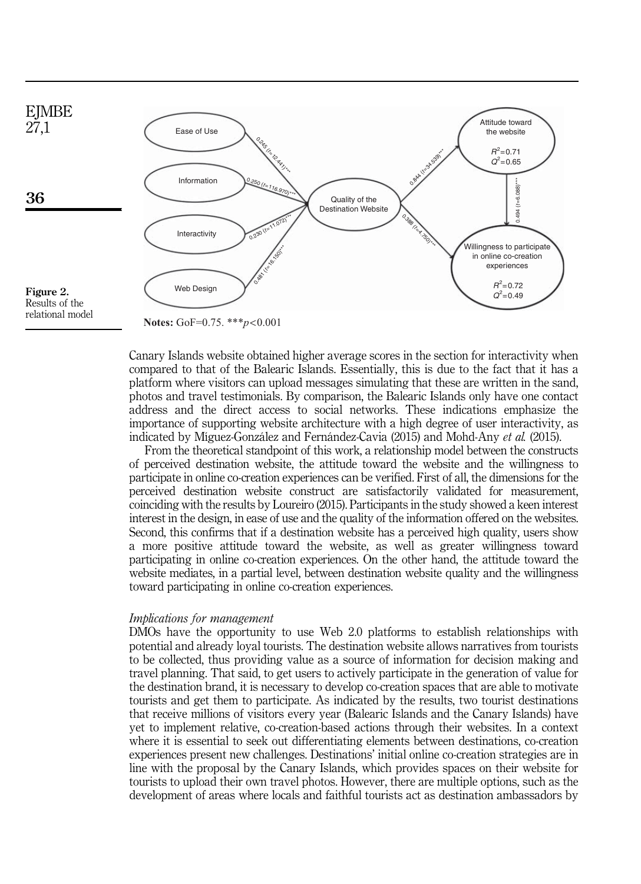

relational model

**Notes:** GoF=0.75. \*\*\**p*<0.001

Canary Islands website obtained higher average scores in the section for interactivity when compared to that of the Balearic Islands. Essentially, this is due to the fact that it has a platform where visitors can upload messages simulating that these are written in the sand, photos and travel testimonials. By comparison, the Balearic Islands only have one contact address and the direct access to social networks. These indications emphasize the importance of supporting website architecture with a high degree of user interactivity, as indicated by Míguez-González and Fernández-Cavia (2015) and Mohd-Any et al. (2015).

From the theoretical standpoint of this work, a relationship model between the constructs of perceived destination website, the attitude toward the website and the willingness to participate in online co-creation experiences can be verified. First of all, the dimensions for the perceived destination website construct are satisfactorily validated for measurement, coinciding with the results by Loureiro (2015). Participants in the study showed a keen interest interest in the design, in ease of use and the quality of the information offered on the websites. Second, this confirms that if a destination website has a perceived high quality, users show a more positive attitude toward the website, as well as greater willingness toward participating in online co-creation experiences. On the other hand, the attitude toward the website mediates, in a partial level, between destination website quality and the willingness toward participating in online co-creation experiences.

## Implications for management

DMOs have the opportunity to use Web 2.0 platforms to establish relationships with potential and already loyal tourists. The destination website allows narratives from tourists to be collected, thus providing value as a source of information for decision making and travel planning. That said, to get users to actively participate in the generation of value for the destination brand, it is necessary to develop co-creation spaces that are able to motivate tourists and get them to participate. As indicated by the results, two tourist destinations that receive millions of visitors every year (Balearic Islands and the Canary Islands) have yet to implement relative, co-creation-based actions through their websites. In a context where it is essential to seek out differentiating elements between destinations, co-creation experiences present new challenges. Destinations' initial online co-creation strategies are in line with the proposal by the Canary Islands, which provides spaces on their website for tourists to upload their own travel photos. However, there are multiple options, such as the development of areas where locals and faithful tourists act as destination ambassadors by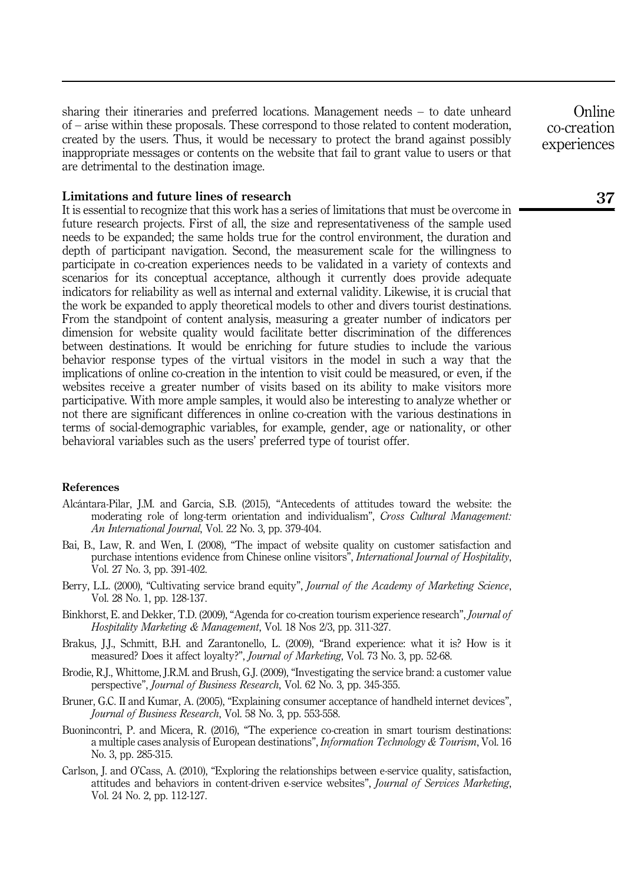sharing their itineraries and preferred locations. Management needs – to date unheard of – arise within these proposals. These correspond to those related to content moderation, created by the users. Thus, it would be necessary to protect the brand against possibly inappropriate messages or contents on the website that fail to grant value to users or that are detrimental to the destination image.

### Limitations and future lines of research

It is essential to recognize that this work has a series of limitations that must be overcome in future research projects. First of all, the size and representativeness of the sample used needs to be expanded; the same holds true for the control environment, the duration and depth of participant navigation. Second, the measurement scale for the willingness to participate in co-creation experiences needs to be validated in a variety of contexts and scenarios for its conceptual acceptance, although it currently does provide adequate indicators for reliability as well as internal and external validity. Likewise, it is crucial that the work be expanded to apply theoretical models to other and divers tourist destinations. From the standpoint of content analysis, measuring a greater number of indicators per dimension for website quality would facilitate better discrimination of the differences between destinations. It would be enriching for future studies to include the various behavior response types of the virtual visitors in the model in such a way that the implications of online co-creation in the intention to visit could be measured, or even, if the websites receive a greater number of visits based on its ability to make visitors more participative. With more ample samples, it would also be interesting to analyze whether or not there are significant differences in online co-creation with the various destinations in terms of social-demographic variables, for example, gender, age or nationality, or other behavioral variables such as the users' preferred type of tourist offer.

#### References

- Alcántara-Pilar, J.M. and García, S.B. (2015), "Antecedents of attitudes toward the website: the moderating role of long-term orientation and individualism", Cross Cultural Management: An International Journal, Vol. 22 No. 3, pp. 379-404.
- Bai, B., Law, R. and Wen, I. (2008), "The impact of website quality on customer satisfaction and purchase intentions evidence from Chinese online visitors", International Journal of Hospitality, Vol. 27 No. 3, pp. 391-402.
- Berry, L.L. (2000), "Cultivating service brand equity", Journal of the Academy of Marketing Science, Vol. 28 No. 1, pp. 128-137.
- Binkhorst, E. and Dekker, T.D. (2009), "Agenda for co-creation tourism experience research", Journal of Hospitality Marketing & Management, Vol. 18 Nos 2/3, pp. 311-327.
- Brakus, J.J., Schmitt, B.H. and Zarantonello, L. (2009), "Brand experience: what it is? How is it measured? Does it affect loyalty?", Journal of Marketing, Vol. 73 No. 3, pp. 52-68.
- Brodie, R.J., Whittome, J.R.M. and Brush, G.J. (2009), "Investigating the service brand: a customer value perspective", Journal of Business Research, Vol. 62 No. 3, pp. 345-355.
- Bruner, G.C. II and Kumar, A. (2005), "Explaining consumer acceptance of handheld internet devices", Journal of Business Research, Vol. 58 No. 3, pp. 553-558.
- Buonincontri, P. and Micera, R. (2016), "The experience co-creation in smart tourism destinations: a multiple cases analysis of European destinations", Information Technology & Tourism, Vol. 16 No. 3, pp. 285-315.
- Carlson, J. and O'Cass, A. (2010), "Exploring the relationships between e-service quality, satisfaction, attitudes and behaviors in content-driven e-service websites", Journal of Services Marketing, Vol. 24 No. 2, pp. 112-127.

**Online** co-creation experiences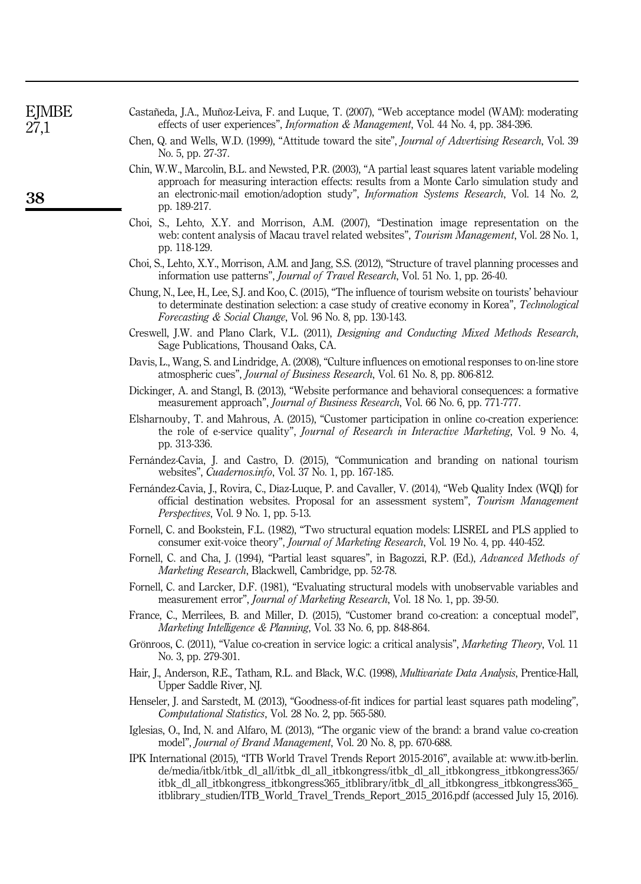| 27,1 | effects of user experiences", <i>Information &amp; Management</i> , Vol. 44 No. 4, pp. 384-396.                                                                                                                                                                                                                   |  |  |  |  |  |  |
|------|-------------------------------------------------------------------------------------------------------------------------------------------------------------------------------------------------------------------------------------------------------------------------------------------------------------------|--|--|--|--|--|--|
|      | Chen, Q. and Wells, W.D. (1999), "Attitude toward the site", <i>Journal of Advertising Research</i> , Vol. 39<br>No. 5, pp. 27-37.                                                                                                                                                                                |  |  |  |  |  |  |
| 38   | Chin, W.W., Marcolin, B.L. and Newsted, P.R. (2003), "A partial least squares latent variable modeling<br>approach for measuring interaction effects: results from a Monte Carlo simulation study and<br>an electronic-mail emotion/adoption study", Information Systems Research, Vol. 14 No. 2,<br>pp. 189-217. |  |  |  |  |  |  |
|      | Choi, S., Lehto, X.Y. and Morrison, A.M. (2007), "Destination image representation on the<br>web: content analysis of Macau travel related websites", Tourism Management, Vol. 28 No. 1,<br>pp. 118-129.                                                                                                          |  |  |  |  |  |  |
|      | Choi, S., Lehto, X.Y., Morrison, A.M. and Jang, S.S. (2012), "Structure of travel planning processes and<br>information use patterns", <i>Journal of Travel Research</i> , Vol. 51 No. 1, pp. 26-40.                                                                                                              |  |  |  |  |  |  |
|      | Chung, N., Lee, H., Lee, S.J. and Koo, C. (2015), "The influence of tourism website on tourists' behaviour<br>to determinate destination selection: a case study of creative economy in Korea", Technological<br>Forecasting & Social Change, Vol. 96 No. 8, pp. 130-143.                                         |  |  |  |  |  |  |
|      | Creswell, J.W. and Plano Clark, V.L. (2011), <i>Designing and Conducting Mixed Methods Research</i> ,<br>Sage Publications, Thousand Oaks, CA.                                                                                                                                                                    |  |  |  |  |  |  |
|      | Davis, L., Wang, S. and Lindridge, A. (2008), "Culture influences on emotional responses to on-line store<br>atmospheric cues", Journal of Business Research, Vol. 61 No. 8, pp. 806-812.                                                                                                                         |  |  |  |  |  |  |
|      | Dickinger, A. and Stangl, B. (2013), "Website performance and behavioral consequences: a formative<br>measurement approach", Journal of Business Research, Vol. 66 No. 6, pp. 771-777.                                                                                                                            |  |  |  |  |  |  |
|      | Elsharnouby, T. and Mahrous, A. (2015), "Customer participation in online co-creation experience:<br>the role of e-service quality", <i>Journal of Research in Interactive Marketing</i> , Vol. 9 No. 4,<br>pp. 313-336.                                                                                          |  |  |  |  |  |  |
|      | Fernández-Cavia, J. and Castro, D. (2015), "Communication and branding on national tourism<br>websites", <i>Cuadernos.info</i> , Vol. 37 No. 1, pp. 167-185.                                                                                                                                                      |  |  |  |  |  |  |
|      | Fernández-Cavia, J., Rovira, C., Díaz-Luque, P. and Cavaller, V. (2014), "Web Quality Index (WQI) for<br>official destination websites. Proposal for an assessment system", Tourism Management<br><i>Perspectives</i> , Vol. 9 No. 1, pp. 5-13.                                                                   |  |  |  |  |  |  |
|      | Fornell, C. and Bookstein, F.L. (1982), "Two structural equation models: LISREL and PLS applied to<br>consumer exit-voice theory", <i>Journal of Marketing Research</i> , Vol. 19 No. 4, pp. 440-452.                                                                                                             |  |  |  |  |  |  |
|      | Fornell, C. and Cha, J. (1994), "Partial least squares", in Bagozzi, R.P. (Ed.), Advanced Methods of<br>Marketing Research, Blackwell, Cambridge, pp. 52-78.                                                                                                                                                      |  |  |  |  |  |  |
|      | Fornell, C. and Larcker, D.F. (1981), "Evaluating structural models with unobservable variables and<br>measurement error", Journal of Marketing Research, Vol. 18 No. 1, pp. 39-50.                                                                                                                               |  |  |  |  |  |  |
|      | France, C., Merrilees, B. and Miller, D. (2015), "Customer brand co-creation: a conceptual model",<br>Marketing Intelligence & Planning, Vol. 33 No. 6, pp. 848-864.                                                                                                                                              |  |  |  |  |  |  |
|      | Grönroos, C. (2011), "Value co-creation in service logic: a critical analysis", Marketing Theory, Vol. 11<br>No. 3, pp. 279-301.                                                                                                                                                                                  |  |  |  |  |  |  |
|      | Hair, J., Anderson, R.E., Tatham, R.L. and Black, W.C. (1998), <i>Multivariate Data Analysis</i> , Prentice-Hall,<br>Upper Saddle River, NJ.                                                                                                                                                                      |  |  |  |  |  |  |
|      | Henseler, J. and Sarstedt, M. (2013), "Goodness-of-fit indices for partial least squares path modeling",<br>Computational Statistics, Vol. 28 No. 2, pp. 565-580.                                                                                                                                                 |  |  |  |  |  |  |
|      | Iglesias, O., Ind, N. and Alfaro, M. (2013), "The organic view of the brand: a brand value co-creation                                                                                                                                                                                                            |  |  |  |  |  |  |

Castañeda, J.A., Muñoz-Leiva, F. and Luque, T. (2007), "Web acceptance model (WAM): moderating

EJMBE

IPK International (2015), "ITB World Travel Trends Report 2015-2016", available at: [www.itb-berlin.](www.itb-berlin.de/media/itbk/itbk_dl_all/itbk_dl_all_itbkongress/itbk_dl_all_itbkongress_itbkongress365/itbk_dl_all_itbkongress_itbkongress365_itblibrary/itbk_dl_all_itbkongress_itbkongress365_itblibrary_studien/ITB_World_Travel_Trends_Report_2015_2016.pdf) [de/media/itbk/itbk\\_dl\\_all/itbk\\_dl\\_all\\_itbkongress/itbk\\_dl\\_all\\_itbkongress\\_itbkongress365/](www.itb-berlin.de/media/itbk/itbk_dl_all/itbk_dl_all_itbkongress/itbk_dl_all_itbkongress_itbkongress365/itbk_dl_all_itbkongress_itbkongress365_itblibrary/itbk_dl_all_itbkongress_itbkongress365_itblibrary_studien/ITB_World_Travel_Trends_Report_2015_2016.pdf) [itbk\\_dl\\_all\\_itbkongress\\_itbkongress365\\_itblibrary/itbk\\_dl\\_all\\_itbkongress\\_itbkongress365\\_](www.itb-berlin.de/media/itbk/itbk_dl_all/itbk_dl_all_itbkongress/itbk_dl_all_itbkongress_itbkongress365/itbk_dl_all_itbkongress_itbkongress365_itblibrary/itbk_dl_all_itbkongress_itbkongress365_itblibrary_studien/ITB_World_Travel_Trends_Report_2015_2016.pdf) [itblibrary\\_studien/ITB\\_World\\_Travel\\_Trends\\_Report\\_2015\\_2016.pdf](www.itb-berlin.de/media/itbk/itbk_dl_all/itbk_dl_all_itbkongress/itbk_dl_all_itbkongress_itbkongress365/itbk_dl_all_itbkongress_itbkongress365_itblibrary/itbk_dl_all_itbkongress_itbkongress365_itblibrary_studien/ITB_World_Travel_Trends_Report_2015_2016.pdf) (accessed July 15, 2016).

model", Journal of Brand Management, Vol. 20 No. 8, pp. 670-688.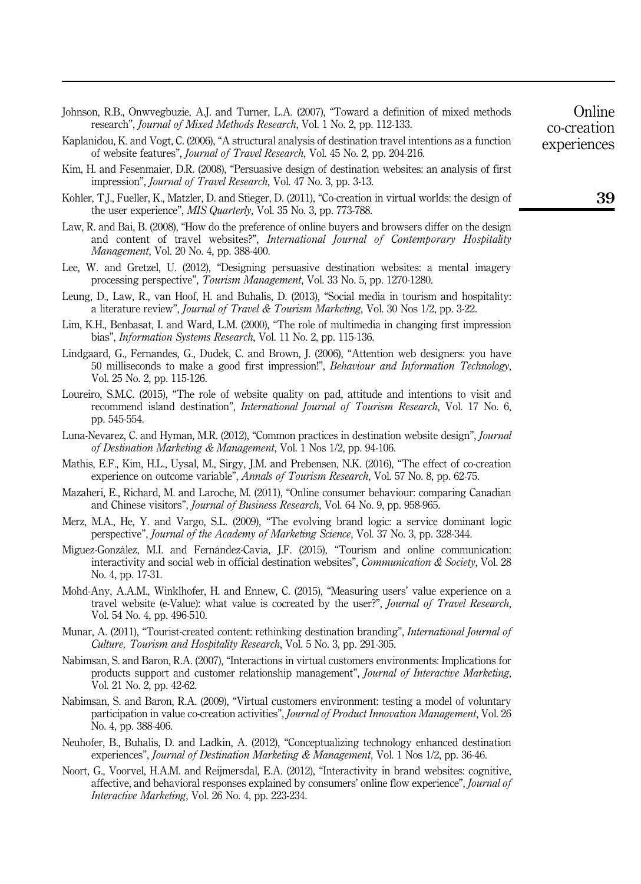| Johnson, R.B., Onwyegbuzie, A.J. and Turner, L.A. (2007), "Toward a definition of mixed methods           | Online      |
|-----------------------------------------------------------------------------------------------------------|-------------|
| research", <i>Journal of Mixed Methods Research</i> , Vol. 1 No. 2, pp. 112-133.                          | co-creation |
| Kaplanidou, K. and Vogt, C. (2006), "A structural analysis of destination travel intentions as a function | experiences |
| of website features", <i>Journal of Travel Research</i> , Vol. 45 No. 2, pp. 204-216.                     |             |

- Kim, H. and Fesenmaier, D.R. (2008), "Persuasive design of destination websites: an analysis of first impression", Journal of Travel Research, Vol. 47 No. 3, pp. 3-13.
- Kohler, T.J., Fueller, K., Matzler, D. and Stieger, D. (2011), "Co-creation in virtual worlds: the design of the user experience", MIS Quarterly, Vol. 35 No. 3, pp. 773-788.
- Law, R. and Bai, B. (2008), "How do the preference of online buyers and browsers differ on the design and content of travel websites?", International Journal of Contemporary Hospitality Management, Vol. 20 No. 4, pp. 388-400.
- Lee, W. and Gretzel, U. (2012), "Designing persuasive destination websites: a mental imagery processing perspective", Tourism Management, Vol. 33 No. 5, pp. 1270-1280.
- Leung, D., Law, R., van Hoof, H. and Buhalis, D. (2013), "Social media in tourism and hospitality: a literature review", Journal of Travel & Tourism Marketing, Vol. 30 Nos 1/2, pp. 3-22.
- Lim, K.H., Benbasat, I. and Ward, L.M. (2000), "The role of multimedia in changing first impression bias", *Information Systems Research*, Vol. 11 No. 2, pp. 115-136.
- Lindgaard, G., Fernandes, G., Dudek, C. and Brown, J. (2006), "Attention web designers: you have 50 milliseconds to make a good first impression!", Behaviour and Information Technology, Vol. 25 No. 2, pp. 115-126.
- Loureiro, S.M.C. (2015), "The role of website quality on pad, attitude and intentions to visit and recommend island destination", International Journal of Tourism Research, Vol. 17 No. 6, pp. 545-554.
- Luna-Nevarez, C. and Hyman, M.R. (2012), "Common practices in destination website design", *Journal* of Destination Marketing & Management, Vol. 1 Nos 1/2, pp. 94-106.
- Mathis, E.F., Kim, H.L., Uysal, M., Sirgy, J.M. and Prebensen, N.K. (2016), "The effect of co-creation experience on outcome variable", Annals of Tourism Research, Vol. 57 No. 8, pp. 62-75.
- Mazaheri, E., Richard, M. and Laroche, M. (2011), "Online consumer behaviour: comparing Canadian and Chinese visitors", Journal of Business Research, Vol. 64 No. 9, pp. 958-965.
- Merz, M.A., He, Y. and Vargo, S.L. (2009), "The evolving brand logic: a service dominant logic perspective", Journal of the Academy of Marketing Science, Vol. 37 No. 3, pp. 328-344.
- Míguez-González, M.I. and Fernández-Cavia, J.F. (2015), "Tourism and online communication: interactivity and social web in official destination websites", Communication & Society, Vol. 28 No. 4, pp. 17-31.
- Mohd-Any, A.A.M., Winklhofer, H. and Ennew, C. (2015), "Measuring users' value experience on a travel website (e-Value): what value is cocreated by the user?", Journal of Travel Research, Vol. 54 No. 4, pp. 496-510.
- Munar, A. (2011), "Tourist-created content: rethinking destination branding", *International Journal of* Culture, Tourism and Hospitality Research, Vol. 5 No. 3, pp. 291-305.
- Nabimsan, S. and Baron, R.A. (2007), "Interactions in virtual customers environments: Implications for products support and customer relationship management", Journal of Interactive Marketing, Vol. 21 No. 2, pp. 42-62.
- Nabimsan, S. and Baron, R.A. (2009), "Virtual customers environment: testing a model of voluntary participation in value co-creation activities", Journal of Product Innovation Management, Vol. 26 No. 4, pp. 388-406.
- Neuhofer, B., Buhalis, D. and Ladkin, A. (2012), "Conceptualizing technology enhanced destination experiences", Journal of Destination Marketing & Management, Vol. 1 Nos 1/2, pp. 36-46.
- Noort, G., Voorvel, H.A.M. and Reijmersdal, E.A. (2012), "Interactivity in brand websites: cognitive, affective, and behavioral responses explained by consumers' online flow experience", Journal of Interactive Marketing, Vol. 26 No. 4, pp. 223-234.

39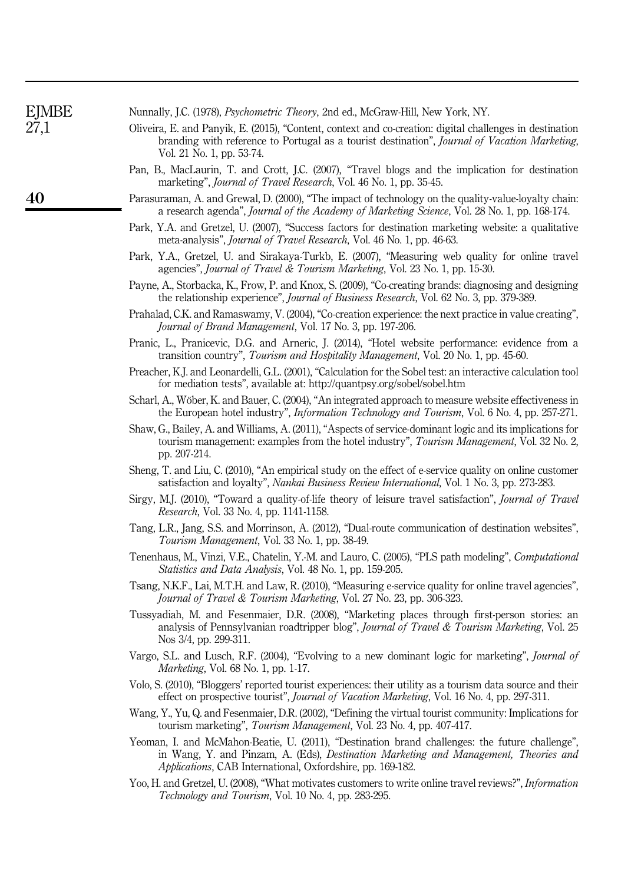| <b>EJMBE</b> | Nunnally, J.C. (1978), Psychometric Theory, 2nd ed., McGraw-Hill, New York, NY.                                                                                                                                                                                      |  |  |  |  |  |
|--------------|----------------------------------------------------------------------------------------------------------------------------------------------------------------------------------------------------------------------------------------------------------------------|--|--|--|--|--|
| 27,1         | Oliveira, E. and Panyik, E. (2015), "Content, context and co-creation: digital challenges in destination<br>branding with reference to Portugal as a tourist destination", Journal of Vacation Marketing,<br>Vol. 21 No. 1, pp. 53-74.                               |  |  |  |  |  |
|              | Pan, B., MacLaurin, T. and Crott, J.C. (2007), "Travel blogs and the implication for destination<br>marketing", <i>Journal of Travel Research</i> , Vol. 46 No. 1, pp. 35-45.                                                                                        |  |  |  |  |  |
| 40           | Parasuraman, A. and Grewal, D. (2000), "The impact of technology on the quality-value-loyalty chain:<br>a research agenda", Journal of the Academy of Marketing Science, Vol. 28 No. 1, pp. 168-174.                                                                 |  |  |  |  |  |
|              | Park, Y.A. and Gretzel, U. (2007), "Success factors for destination marketing website: a qualitative<br>meta-analysis", <i>Journal of Travel Research</i> , Vol. 46 No. 1, pp. 46-63.                                                                                |  |  |  |  |  |
|              | Park, Y.A., Gretzel, U. and Sirakaya-Turkb, E. (2007), "Measuring web quality for online travel<br>agencies", <i>Journal of Travel &amp; Tourism Marketing</i> , Vol. 23 No. 1, pp. 15-30.                                                                           |  |  |  |  |  |
|              | Payne, A., Storbacka, K., Frow, P. and Knox, S. (2009), "Co-creating brands: diagnosing and designing<br>the relationship experience", Journal of Business Research, Vol. 62 No. 3, pp. 379-389.                                                                     |  |  |  |  |  |
|              | Prahalad, C.K. and Ramaswamy, V. (2004), "Co-creation experience: the next practice in value creating",<br>Journal of Brand Management, Vol. 17 No. 3, pp. 197-206.                                                                                                  |  |  |  |  |  |
|              | Pranic, L., Pranicevic, D.G. and Arneric, J. (2014), "Hotel website performance: evidence from a<br>transition country", Tourism and Hospitality Management, Vol. 20 No. 1, pp. 45-60.                                                                               |  |  |  |  |  |
|              | Preacher, K.J. and Leonardelli, G.L. (2001), "Calculation for the Sobel test: an interactive calculation tool<br>for mediation tests", available at: http://quantpsy.org/sobel/sobel.htm                                                                             |  |  |  |  |  |
|              | Scharl, A., Wöber, K. and Bauer, C. (2004), "An integrated approach to measure website effectiveness in<br>the European hotel industry", <i>Information Technology and Tourism</i> , Vol. 6 No. 4, pp. 257-271.                                                      |  |  |  |  |  |
|              | Shaw, G., Bailey, A. and Williams, A. (2011), "Aspects of service-dominant logic and its implications for<br>tourism management: examples from the hotel industry", Tourism Management, Vol. 32 No. 2,<br>pp. 207-214.                                               |  |  |  |  |  |
|              | Sheng, T. and Liu, C. (2010), "An empirical study on the effect of e-service quality on online customer<br>satisfaction and loyalty", <i>Nankai Business Review International</i> , Vol. 1 No. 3, pp. 273-283.                                                       |  |  |  |  |  |
|              | Sirgy, M.J. (2010), "Toward a quality-of-life theory of leisure travel satisfaction", <i>Journal of Travel</i><br>Research, Vol. 33 No. 4, pp. 1141-1158.                                                                                                            |  |  |  |  |  |
|              | Tang, L.R., Jang, S.S. and Morrinson, A. (2012), "Dual-route communication of destination websites",<br>Tourism Management, Vol. 33 No. 1, pp. 38-49.                                                                                                                |  |  |  |  |  |
|              | Tenenhaus, M., Vinzi, V.E., Chatelin, Y.-M. and Lauro, C. (2005), "PLS path modeling", Computational<br>Statistics and Data Analysis, Vol. 48 No. 1, pp. 159-205.                                                                                                    |  |  |  |  |  |
|              | Tsang, N.K.F., Lai, M.T.H. and Law, R. (2010), "Measuring e-service quality for online travel agencies",<br>Journal of Travel & Tourism Marketing, Vol. 27 No. 23, pp. 306-323.                                                                                      |  |  |  |  |  |
|              | Tussyadiah, M. and Fesenmaier, D.R. (2008), "Marketing places through first-person stories: an<br>analysis of Pennsylvanian roadtripper blog", Journal of Travel & Tourism Marketing, Vol. 25<br>Nos 3/4, pp. 299-311.                                               |  |  |  |  |  |
|              | Vargo, S.L. and Lusch, R.F. (2004), "Evolving to a new dominant logic for marketing", Journal of<br><i>Marketing</i> , Vol. 68 No. 1, pp. 1-17.                                                                                                                      |  |  |  |  |  |
|              | Volo, S. (2010), "Bloggers' reported tourist experiences: their utility as a tourism data source and their<br>effect on prospective tourist", <i>Journal of Vacation Marketing</i> , Vol. 16 No. 4, pp. 297-311.                                                     |  |  |  |  |  |
|              | Wang, Y., Yu, Q. and Fesenmaier, D.R. (2002), "Defining the virtual tourist community: Implications for<br>tourism marketing", <i>Tourism Management</i> , Vol. 23 No. 4, pp. 407-417.                                                                               |  |  |  |  |  |
|              | Yeoman, I. and McMahon-Beatie, U. (2011), "Destination brand challenges: the future challenge",<br>in Wang, Y. and Pinzam, A. (Eds), <i>Destination Marketing and Management</i> , <i>Theories and</i><br>Applications, CAB International, Oxfordshire, pp. 169-182. |  |  |  |  |  |
|              | Yoo, H. and Gretzel, U. (2008), "What motivates customers to write online travel reviews?", <i>Information</i><br>Technology and Tourism, Vol. 10 No. 4, pp. 283-295.                                                                                                |  |  |  |  |  |